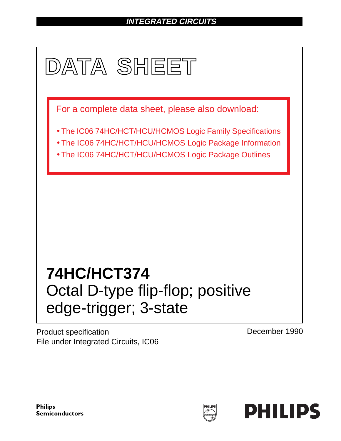# **INTEGRATED CIRCUITS**



Product specification File under Integrated Circuits, IC06 December 1990

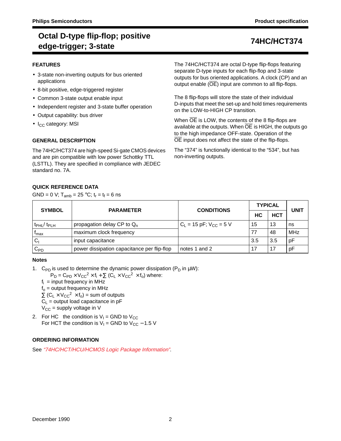# **Octal D-type flip-flop; positive edge-trigger; 3-state 74HC/HCT374**

## **FEATURES**

- 3-state non-inverting outputs for bus oriented applications
- 8-bit positive, edge-triggered register
- Common 3-state output enable input
- Independent register and 3-state buffer operation
- Output capability: bus driver
- $\bullet$  I<sub>CC</sub> category: MSI

# **GENERAL DESCRIPTION**

The 74HC/HCT374 are high-speed Si-gate CMOS devices and are pin compatible with low power Schottky TTL (LSTTL). They are specified in compliance with JEDEC standard no. 7A.

# **QUICK REFERENCE DATA**

GND = 0 V;  $T_{amb}$  = 25 °C;  $t_r = t_f = 6$  ns

The 74HC/HCT374 are octal D-type flip-flops featuring separate D-type inputs for each flip-flop and 3-state outputs for bus oriented applications. A clock (CP) and an output enable (OE) input are common to all flip-flops.

The 8 flip-flops will store the state of their individual D-inputs that meet the set-up and hold times requirements on the LOW-to-HIGH CP transition.

When OE is LOW, the contents of the 8 flip-flops are available at the outputs. When  $\overline{OE}$  is HIGH, the outputs go to the high impedance OFF-state. Operation of the OE input does not affect the state of the flip-flops.

The "374" is functionally identical to the "534", but has non-inverting outputs.

| <b>SYMBOL</b>                 | <b>PARAMETER</b>                            | <b>CONDITIONS</b>             | <b>TYPICAL</b> | UNIT       |            |
|-------------------------------|---------------------------------------------|-------------------------------|----------------|------------|------------|
|                               |                                             |                               | НC             | <b>HCT</b> |            |
| $t_{\rm PHL}$ / $t_{\rm PLH}$ | propagation delay CP to $Q_n$               | $C_L$ = 15 pF; $V_{CC}$ = 5 V | 15             | 13         | ns         |
| <sup>I</sup> max              | maximum clock frequency                     |                               | 77             | 48         | <b>MHz</b> |
| $C_1$                         | input capacitance                           |                               | 3.5            | 3.5        | pF         |
| $C_{PD}$                      | power dissipation capacitance per flip-flop | notes 1 and 2                 |                |            | pF         |

## **Notes**

1. C<sub>PD</sub> is used to determine the dynamic power dissipation (P<sub>D</sub> in  $\mu$ W):

 $P_D = C_{PD} \times V_{CC}^2 \times f_i + \sum (C_L \times V_{CC}^2 \times f_o)$  where:

 $f_i$  = input frequency in MHz

 $f<sub>o</sub>$  = output frequency in MHz

 $\Sigma$  (C<sub>L</sub> × V<sub>CC</sub><sup>2</sup> × f<sub>o</sub>) = sum of outputs

 $C_L$  = output load capacitance in pF

- $V_{\text{CC}}$  = supply voltage in V
- 2. For HC the condition is  $V_1 =$  GND to  $V_{CC}$ For HCT the condition is  $V_1$  = GND to  $V_{CC}$  – 1.5 V

# **ORDERING INFORMATION**

See "74HC/HCT/HCU/HCMOS Logic Package Information".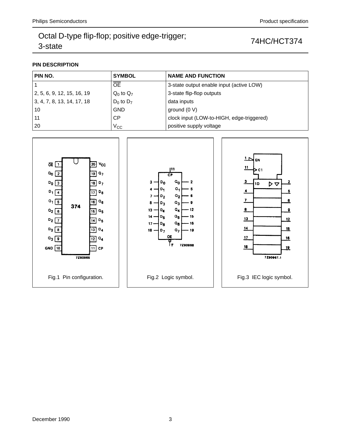## **PIN DESCRIPTION**

| PIN NO.                    | <b>SYMBOL</b>  | <b>NAME AND FUNCTION</b>                  |
|----------------------------|----------------|-------------------------------------------|
|                            | <b>OE</b>      | 3-state output enable input (active LOW)  |
| 2, 5, 6, 9, 12, 15, 16, 19 | $Q_0$ to $Q_7$ | 3-state flip-flop outputs                 |
| 3, 4, 7, 8, 13, 14, 17, 18 | $D_0$ to $D_7$ | data inputs                               |
| 10                         | <b>GND</b>     | ground $(0 V)$                            |
| 11                         | СP             | clock input (LOW-to-HIGH, edge-triggered) |
| 20                         | $\rm V_{CC}$   | positive supply voltage                   |

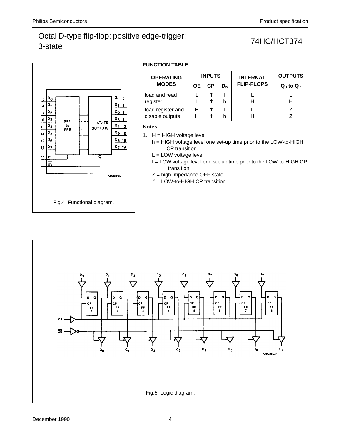

# **FUNCTION TABLE**

| <b>OPERATING</b>                     |           | <b>INPUTS</b> |       | <b>INTERNAL</b>   | <b>OUTPUTS</b> |  |  |
|--------------------------------------|-----------|---------------|-------|-------------------|----------------|--|--|
| <b>MODES</b>                         | <b>OE</b> | <b>CP</b>     | $D_n$ | <b>FLIP-FLOPS</b> | $Q_0$ to $Q_7$ |  |  |
| load and read<br>register            |           |               |       |                   |                |  |  |
| load register and<br>disable outputs | н<br>н    | ∧             |       |                   |                |  |  |

## **Notes**

1.  $H = HIGH$  voltage level

h = HIGH voltage level one set-up time prior to the LOW-to-HIGH CP transition

L = LOW voltage level

I = LOW voltage level one set-up time prior to the LOW-to-HIGH CP transition

- Z = high impedance OFF-state
- ↑ = LOW-to-HIGH CP transition

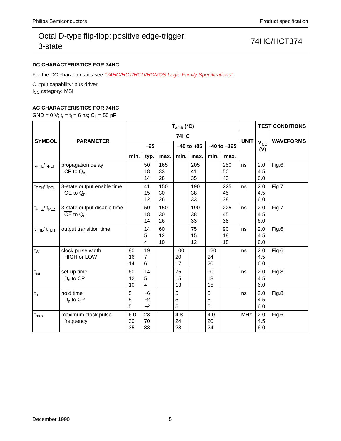# **DC CHARACTERISTICS FOR 74HC**

For the DC characteristics see "74HC/HCT/HCU/HCMOS Logic Family Specifications".

Output capability: bus driver I<sub>CC</sub> category: MSI

# **AC CHARACTERISTICS FOR 74HC**

GND = 0 V;  $t_r = t_f = 6$  ns;  $C_L = 50$  pF

|                                         | <b>PARAMETER</b>                                        | $T_{amb}$ (°C)  |                      |                 |                 |                 |                 |                 |             | <b>TEST CONDITIONS</b>       |                  |
|-----------------------------------------|---------------------------------------------------------|-----------------|----------------------|-----------------|-----------------|-----------------|-----------------|-----------------|-------------|------------------------------|------------------|
| <b>SYMBOL</b>                           |                                                         | 74HC            |                      |                 |                 |                 |                 |                 |             |                              | <b>WAVEFORMS</b> |
|                                         |                                                         | $+25$           |                      |                 | $-40$ to $+85$  |                 | $-40$ to $+125$ |                 | <b>UNIT</b> | <b>V<sub>cc</sub></b><br>(V) |                  |
|                                         |                                                         | min.            | typ.                 | max.            | min.            | max.            | min.            | max.            |             |                              |                  |
| t <sub>PHL</sub> / t <sub>PLH</sub>     | propagation delay<br>$CP$ to $Q_n$                      |                 | 50<br>18<br>14       | 165<br>33<br>28 |                 | 205<br>41<br>35 |                 | 250<br>50<br>43 | ns          | 2.0<br>4.5<br>6.0            | Fig.6            |
| t <sub>PZH</sub> / t <sub>PZL</sub>     | 3-state output enable time<br>$\overline{OE}$ to $Q_n$  |                 | 41<br>15<br>12       | 150<br>30<br>26 |                 | 190<br>38<br>33 |                 | 225<br>45<br>38 | ns          | 2.0<br>4.5<br>6.0            | Fig.7            |
| t <sub>PHZ</sub> /t <sub>PLZ</sub>      | 3-state output disable time<br>$\overline{OE}$ to $Q_n$ |                 | 50<br>18<br>14       | 150<br>30<br>26 |                 | 190<br>38<br>33 |                 | 225<br>45<br>38 | ns          | 2.0<br>4.5<br>6.0            | Fig.7            |
| $t$ <sub>THL</sub> / $t$ <sub>TLH</sub> | output transition time                                  |                 | 14<br>5<br>4         | 60<br>12<br>10  |                 | 75<br>15<br>13  |                 | 90<br>18<br>15  | ns          | 2.0<br>4.5<br>6.0            | Fig.6            |
| $t_{W}$                                 | clock pulse width<br><b>HIGH or LOW</b>                 | 80<br>16<br>14  | 19<br>7<br>6         |                 | 100<br>20<br>17 |                 | 120<br>24<br>20 |                 | ns          | 2.0<br>4.5<br>6.0            | Fig.6            |
| $t_{\rm su}$                            | set-up time<br>$D_n$ to CP                              | 60<br>12<br>10  | 14<br>5<br>4         |                 | 75<br>15<br>13  |                 | 90<br>18<br>15  |                 | ns          | 2.0<br>4.5<br>6.0            | Fig.8            |
| t <sub>h</sub>                          | hold time<br>$D_n$ to CP                                | 5<br>5<br>5     | $-6$<br>$-2$<br>$-2$ |                 | 5<br>5<br>5     |                 | 5<br>5<br>5     |                 | ns          | 2.0<br>4.5<br>6.0            | Fig.8            |
| $f_{\text{max}}$                        | maximum clock pulse<br>frequency                        | 6.0<br>30<br>35 | 23<br>70<br>83       |                 | 4.8<br>24<br>28 |                 | 4.0<br>20<br>24 |                 | <b>MHz</b>  | 2.0<br>4.5<br>6.0            | Fig.6            |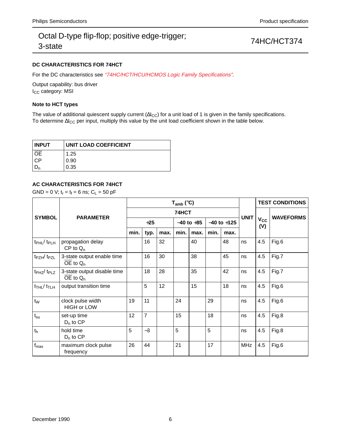## **DC CHARACTERISTICS FOR 74HCT**

For the DC characteristics see "74HC/HCT/HCU/HCMOS Logic Family Specifications".

Output capability: bus driver I<sub>CC</sub> category: MSI

## **Note to HCT types**

The value of additional quiescent supply current ( $\Delta I_{CC}$ ) for a unit load of 1 is given in the family specifications. To determine ∆I<sub>CC</sub> per input, multiply this value by the unit load coefficient shown in the table below.

| <b>INPUT</b>               | UNIT LOAD COEFFICIENT |  |  |  |  |  |
|----------------------------|-----------------------|--|--|--|--|--|
| $\overline{\overline{OE}}$ | 1.25                  |  |  |  |  |  |
| CP.                        | 0.90                  |  |  |  |  |  |
|                            | 0.35                  |  |  |  |  |  |

## **AC CHARACTERISTICS FOR 74HCT**

GND = 0 V;  $t_r = t_f = 6$  ns;  $C_L = 50$  pF

|                                        | <b>PARAMETER</b>                            | $T_{amb}$ (°C) |                |      |                |      |                 |      |             | <b>TEST CONDITIONS</b> |                  |
|----------------------------------------|---------------------------------------------|----------------|----------------|------|----------------|------|-----------------|------|-------------|------------------------|------------------|
| <b>SYMBOL</b>                          |                                             | 74HCT          |                |      |                |      |                 |      |             |                        | <b>WAVEFORMS</b> |
|                                        |                                             | $+25$          |                |      | $-40$ to $+85$ |      | $-40$ to $+125$ |      | <b>UNIT</b> | Vcc<br>(V)             |                  |
|                                        |                                             | min.           | typ.           | max. | min.           | max. | min.            | max. |             |                        |                  |
| $t_{\rm PHL}$ / $t_{\rm PLH}$          | propagation delay<br>$CP$ to $Q_n$          |                | 16             | 32   |                | 40   |                 | 48   | ns          | 4.5                    | Fig.6            |
| $t_{PZH}/t_{PZL}$                      | 3-state output enable time<br>$OE$ to $Q_n$ |                | 16             | 30   |                | 38   |                 | 45   | ns          | 4.5                    | Fig.7            |
| t <sub>PHZ</sub> /t <sub>PLZ</sub>     | 3-state output disable time<br>OE to $Q_n$  |                | 18             | 28   |                | 35   |                 | 42   | ns          | 4.5                    | Fig.7            |
| $t$ <sub>THL</sub> $/t$ <sub>TLH</sub> | output transition time                      |                | 5              | 12   |                | 15   |                 | 18   | ns          | 4.5                    | Fig.6            |
| $t_{W}$                                | clock pulse width<br><b>HIGH or LOW</b>     | 19             | 11             |      | 24             |      | 29              |      | ns          | 4.5                    | Fig.6            |
| $t_{\rm su}$                           | set-up time<br>$D_n$ to $CP$                | 12             | $\overline{7}$ |      | 15             |      | 18              |      | ns          | 4.5                    | Fig.8            |
| $t_h$                                  | hold time<br>$D_n$ to $CP$                  | 5              | $-3$           |      | 5              |      | 5               |      | ns          | 4.5                    | Fig.8            |
| $f_{\text{max}}$                       | maximum clock pulse<br>frequency            | 26             | 44             |      | 21             |      | 17              |      | <b>MHz</b>  | 4.5                    | Fig.6            |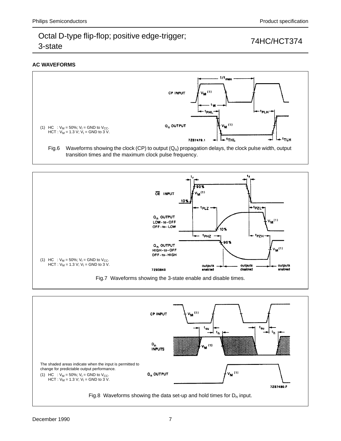## **AC WAVEFORMS**